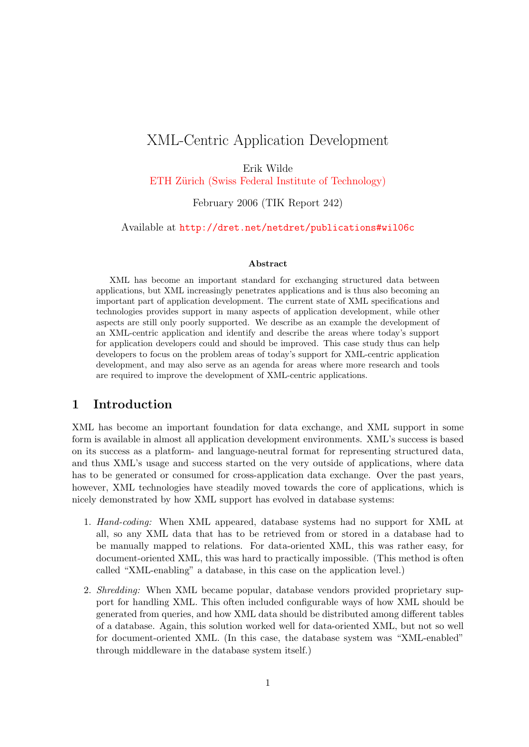# <span id="page-0-0"></span>XML-Centric Application Development

Erik Wilde

ETH Zürich (Swiss Federal Institute of Technology)

February 2006 (TIK Report 242)

Available at <http://dret.net/netdret/publications#wil06c>

#### Abstract

XML has become an important standard for exchanging structured data between applications, but XML increasingly penetrates applications and is thus also becoming an important part of application development. The current state of XML specifications and technologies provides support in many aspects of application development, while other aspects are still only poorly supported. We describe as an example the development of an XML-centric application and identify and describe the areas where today's support for application developers could and should be improved. This case study thus can help developers to focus on the problem areas of today's support for XML-centric application development, and may also serve as an agenda for areas where more research and tools are required to improve the development of XML-centric applications.

#### 1 Introduction

XML has become an important foundation for data exchange, and XML support in some form is available in almost all application development environments. XML's success is based on its success as a platform- and language-neutral format for representing structured data, and thus XML's usage and success started on the very outside of applications, where data has to be generated or consumed for cross-application data exchange. Over the past years, however, XML technologies have steadily moved towards the core of applications, which is nicely demonstrated by how XML support has evolved in database systems:

- 1. Hand-coding: When XML appeared, database systems had no support for XML at all, so any XML data that has to be retrieved from or stored in a database had to be manually mapped to relations. For data-oriented XML, this was rather easy, for document-oriented XML, this was hard to practically impossible. (This method is often called "XML-enabling" a database, in this case on the application level.)
- 2. Shredding: When XML became popular, database vendors provided proprietary support for handling XML. This often included configurable ways of how XML should be generated from queries, and how XML data should be distributed among different tables of a database. Again, this solution worked well for data-oriented XML, but not so well for document-oriented XML. (In this case, the database system was "XML-enabled" through middleware in the database system itself.)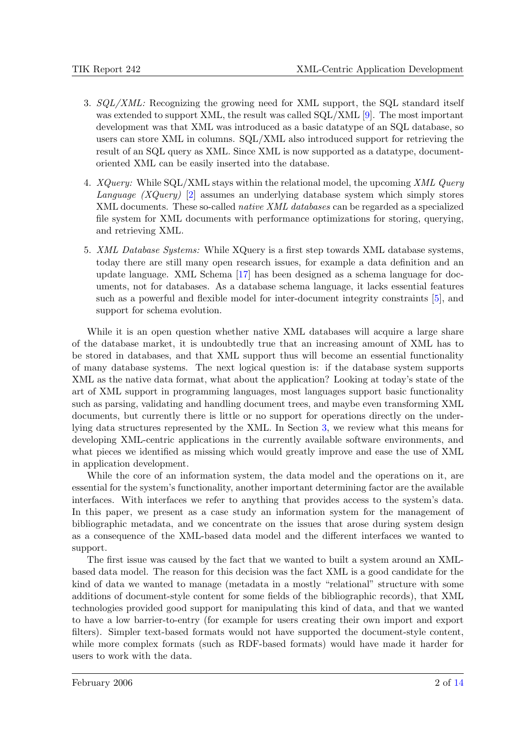- 3. SQL/XML: Recognizing the growing need for XML support, the SQL standard itself was extended to support XML, the result was called SQL/XML [\[9\]](#page-13-0). The most important development was that XML was introduced as a basic datatype of an SQL database, so users can store XML in columns. SQL/XML also introduced support for retrieving the result of an SQL query as XML. Since XML is now supported as a datatype, documentoriented XML can be easily inserted into the database.
- 4. XQuery: While SQL/XML stays within the relational model, the upcoming XML Query Language (XQuery) [\[2\]](#page-12-0) assumes an underlying database system which simply stores XML documents. These so-called *native XML databases* can be regarded as a specialized file system for XML documents with performance optimizations for storing, querying, and retrieving XML.
- 5. XML Database Systems: While XQuery is a first step towards XML database systems, today there are still many open research issues, for example a data definition and an update language. XML Schema [\[17\]](#page-13-0) has been designed as a schema language for documents, not for databases. As a database schema language, it lacks essential features such as a powerful and flexible model for inter-document integrity constraints [\[5\]](#page-12-0), and support for schema evolution.

While it is an open question whether native XML databases will acquire a large share of the database market, it is undoubtedly true that an increasing amount of XML has to be stored in databases, and that XML support thus will become an essential functionality of many database systems. The next logical question is: if the database system supports XML as the native data format, what about the application? Looking at today's state of the art of XML support in programming languages, most languages support basic functionality such as parsing, validating and handling document trees, and maybe even transforming XML documents, but currently there is little or no support for operations directly on the underlying data structures represented by the XML. In Section [3,](#page-3-0) we review what this means for developing XML-centric applications in the currently available software environments, and what pieces we identified as missing which would greatly improve and ease the use of XML in application development.

While the core of an information system, the data model and the operations on it, are essential for the system's functionality, another important determining factor are the available interfaces. With interfaces we refer to anything that provides access to the system's data. In this paper, we present as a case study an information system for the management of bibliographic metadata, and we concentrate on the issues that arose during system design as a consequence of the XML-based data model and the different interfaces we wanted to support.

The first issue was caused by the fact that we wanted to built a system around an XMLbased data model. The reason for this decision was the fact XML is a good candidate for the kind of data we wanted to manage (metadata in a mostly "relational" structure with some additions of document-style content for some fields of the bibliographic records), that XML technologies provided good support for manipulating this kind of data, and that we wanted to have a low barrier-to-entry (for example for users creating their own import and export filters). Simpler text-based formats would not have supported the document-style content, while more complex formats (such as RDF-based formats) would have made it harder for users to work with the data.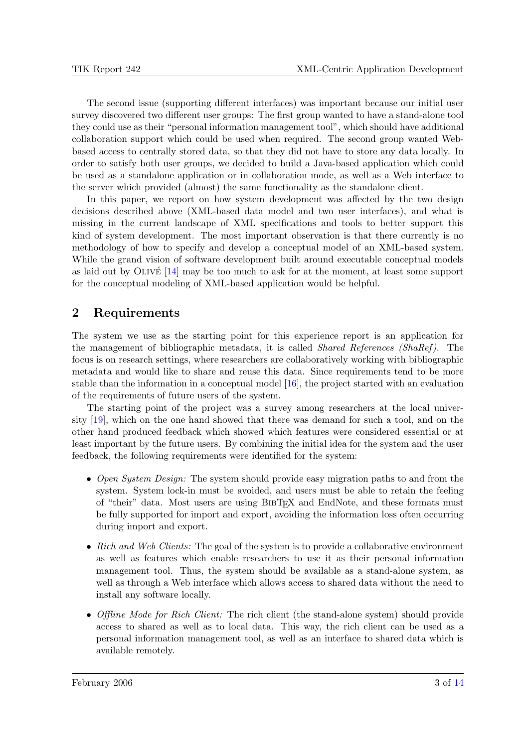<span id="page-2-0"></span>The second issue (supporting different interfaces) was important because our initial user survey discovered two different user groups: The first group wanted to have a stand-alone tool they could use as their "personal information management tool", which should have additional collaboration support which could be used when required. The second group wanted Webbased access to centrally stored data, so that they did not have to store any data locally. In order to satisfy both user groups, we decided to build a Java-based application which could be used as a standalone application or in collaboration mode, as well as a Web interface to the server which provided (almost) the same functionality as the standalone client.

In this paper, we report on how system development was affected by the two design decisions described above (XML-based data model and two user interfaces), and what is missing in the current landscape of XML specifications and tools to better support this kind of system development. The most important observation is that there currently is no methodology of how to specify and develop a conceptual model of an XML-based system. While the grand vision of software development built around executable conceptual models as laid out by  $OLIVE$  [\[14\]](#page-13-0) may be too much to ask for at the moment, at least some support for the conceptual modeling of XML-based application would be helpful.

# 2 Requirements

The system we use as the starting point for this experience report is an application for the management of bibliographic metadata, it is called *Shared References (ShaRef)*. The focus is on research settings, where researchers are collaboratively working with bibliographic metadata and would like to share and reuse this data. Since requirements tend to be more stable than the information in a conceptual model [\[16\]](#page-13-0), the project started with an evaluation of the requirements of future users of the system.

The starting point of the project was a survey among researchers at the local university [\[19\]](#page-13-0), which on the one hand showed that there was demand for such a tool, and on the other hand produced feedback which showed which features were considered essential or at least important by the future users. By combining the initial idea for the system and the user feedback, the following requirements were identified for the system:

- Open System Design: The system should provide easy migration paths to and from the system. System lock-in must be avoided, and users must be able to retain the feeling of "their" data. Most users are using BibTEX and EndNote, and these formats must be fully supported for import and export, avoiding the information loss often occurring during import and export.
- Rich and Web Clients: The goal of the system is to provide a collaborative environment as well as features which enable researchers to use it as their personal information management tool. Thus, the system should be available as a stand-alone system, as well as through a Web interface which allows access to shared data without the need to install any software locally.
- Offline Mode for Rich Client: The rich client (the stand-alone system) should provide access to shared as well as to local data. This way, the rich client can be used as a personal information management tool, as well as an interface to shared data which is available remotely.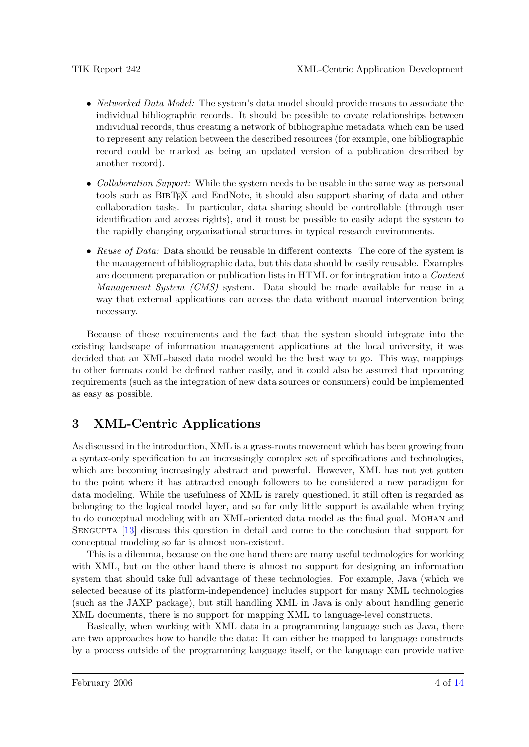- <span id="page-3-0"></span>• Networked Data Model: The system's data model should provide means to associate the individual bibliographic records. It should be possible to create relationships between individual records, thus creating a network of bibliographic metadata which can be used to represent any relation between the described resources (for example, one bibliographic record could be marked as being an updated version of a publication described by another record).
- Collaboration Support: While the system needs to be usable in the same way as personal tools such as BibTEX and EndNote, it should also support sharing of data and other collaboration tasks. In particular, data sharing should be controllable (through user identification and access rights), and it must be possible to easily adapt the system to the rapidly changing organizational structures in typical research environments.
- Reuse of Data: Data should be reusable in different contexts. The core of the system is the management of bibliographic data, but this data should be easily reusable. Examples are document preparation or publication lists in HTML or for integration into a Content Management System (CMS) system. Data should be made available for reuse in a way that external applications can access the data without manual intervention being necessary.

Because of these requirements and the fact that the system should integrate into the existing landscape of information management applications at the local university, it was decided that an XML-based data model would be the best way to go. This way, mappings to other formats could be defined rather easily, and it could also be assured that upcoming requirements (such as the integration of new data sources or consumers) could be implemented as easy as possible.

# 3 XML-Centric Applications

As discussed in the introduction, XML is a grass-roots movement which has been growing from a syntax-only specification to an increasingly complex set of specifications and technologies, which are becoming increasingly abstract and powerful. However, XML has not yet gotten to the point where it has attracted enough followers to be considered a new paradigm for data modeling. While the usefulness of XML is rarely questioned, it still often is regarded as belonging to the logical model layer, and so far only little support is available when trying to do conceptual modeling with an XML-oriented data model as the final goal. MOHAN and SENGUPTA [\[13\]](#page-13-0) discuss this question in detail and come to the conclusion that support for conceptual modeling so far is almost non-existent.

This is a dilemma, because on the one hand there are many useful technologies for working with XML, but on the other hand there is almost no support for designing an information system that should take full advantage of these technologies. For example, Java (which we selected because of its platform-independence) includes support for many XML technologies (such as the JAXP package), but still handling XML in Java is only about handling generic XML documents, there is no support for mapping XML to language-level constructs.

Basically, when working with XML data in a programming language such as Java, there are two approaches how to handle the data: It can either be mapped to language constructs by a process outside of the programming language itself, or the language can provide native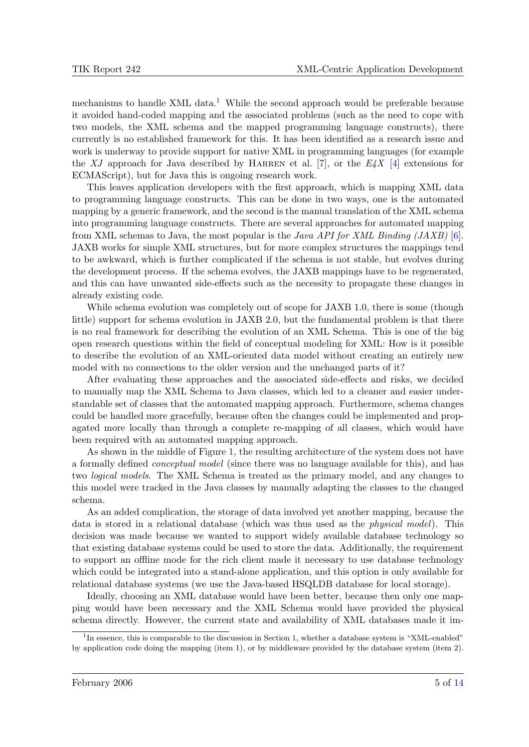mechanisms to handle XML data.<sup>1</sup> While the second approach would be preferable because it avoided hand-coded mapping and the associated problems (such as the need to cope with two models, the XML schema and the mapped programming language constructs), there currently is no established framework for this. It has been identified as a research issue and work is underway to provide support for native XML in programming languages (for example the XJ approach for Java described by HARREN et al. [\[7\]](#page-12-0), or the  $E/4X$  [\[4\]](#page-12-0) extensions for ECMAScript), but for Java this is ongoing research work.

This leaves application developers with the first approach, which is mapping XML data to programming language constructs. This can be done in two ways, one is the automated mapping by a generic framework, and the second is the manual translation of the XML schema into programming language constructs. There are several approaches for automated mapping from XML schemas to Java, the most popular is the *Java API for XML Binding (JAXB)* [\[6\]](#page-12-0). JAXB works for simple XML structures, but for more complex structures the mappings tend to be awkward, which is further complicated if the schema is not stable, but evolves during the development process. If the schema evolves, the JAXB mappings have to be regenerated, and this can have unwanted side-effects such as the necessity to propagate these changes in already existing code.

While schema evolution was completely out of scope for JAXB 1.0, there is some (though little) support for schema evolution in JAXB 2.0, but the fundamental problem is that there is no real framework for describing the evolution of an XML Schema. This is one of the big open research questions within the field of conceptual modeling for XML: How is it possible to describe the evolution of an XML-oriented data model without creating an entirely new model with no connections to the older version and the unchanged parts of it?

After evaluating these approaches and the associated side-effects and risks, we decided to manually map the XML Schema to Java classes, which led to a cleaner and easier understandable set of classes that the automated mapping approach. Furthermore, schema changes could be handled more gracefully, because often the changes could be implemented and propagated more locally than through a complete re-mapping of all classes, which would have been required with an automated mapping approach.

As shown in the middle of Figure [1,](#page-5-0) the resulting architecture of the system does not have a formally defined conceptual model (since there was no language available for this), and has two logical models. The XML Schema is treated as the primary model, and any changes to this model were tracked in the Java classes by manually adapting the classes to the changed schema.

As an added complication, the storage of data involved yet another mapping, because the data is stored in a relational database (which was thus used as the physical model). This decision was made because we wanted to support widely available database technology so that existing database systems could be used to store the data. Additionally, the requirement to support an offline mode for the rich client made it necessary to use database technology which could be integrated into a stand-alone application, and this option is only available for relational database systems (we use the Java-based HSQLDB database for local storage).

Ideally, choosing an XML database would have been better, because then only one mapping would have been necessary and the XML Schema would have provided the physical schema directly. However, the current state and availability of XML databases made it im-

<sup>&</sup>lt;sup>1</sup>In essence, this is comparable to the discussion in Section [1,](#page-0-0) whether a database system is "XML-enabled" by application code doing the mapping (item 1), or by middleware provided by the database system (item 2).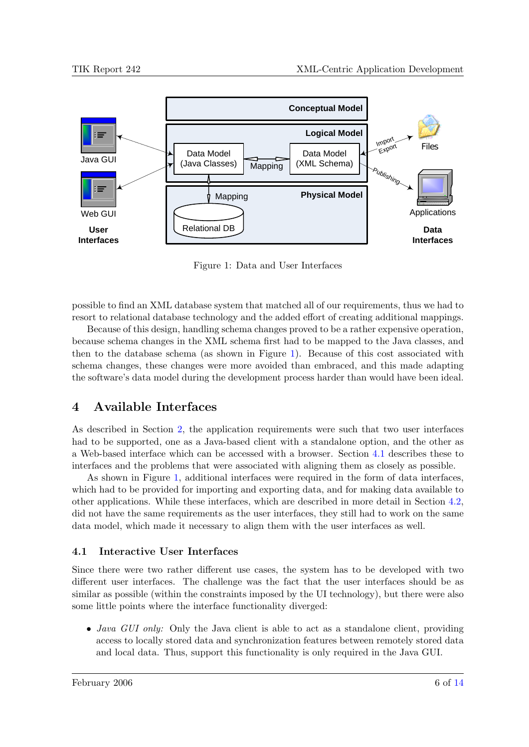<span id="page-5-0"></span>

Figure 1: Data and User Interfaces

possible to find an XML database system that matched all of our requirements, thus we had to resort to relational database technology and the added effort of creating additional mappings.

Because of this design, handling schema changes proved to be a rather expensive operation, because schema changes in the XML schema first had to be mapped to the Java classes, and then to the database schema (as shown in Figure 1). Because of this cost associated with schema changes, these changes were more avoided than embraced, and this made adapting the software's data model during the development process harder than would have been ideal.

# 4 Available Interfaces

As described in Section [2,](#page-2-0) the application requirements were such that two user interfaces had to be supported, one as a Java-based client with a standalone option, and the other as a Web-based interface which can be accessed with a browser. Section 4.1 describes these to interfaces and the problems that were associated with aligning them as closely as possible.

As shown in Figure 1, additional interfaces were required in the form of data interfaces, which had to be provided for importing and exporting data, and for making data available to other applications. While these interfaces, which are described in more detail in Section [4.2,](#page-7-0) did not have the same requirements as the user interfaces, they still had to work on the same data model, which made it necessary to align them with the user interfaces as well.

#### 4.1 Interactive User Interfaces

Since there were two rather different use cases, the system has to be developed with two different user interfaces. The challenge was the fact that the user interfaces should be as similar as possible (within the constraints imposed by the UI technology), but there were also some little points where the interface functionality diverged:

• *Java GUI only:* Only the Java client is able to act as a standalone client, providing access to locally stored data and synchronization features between remotely stored data and local data. Thus, support this functionality is only required in the Java GUI.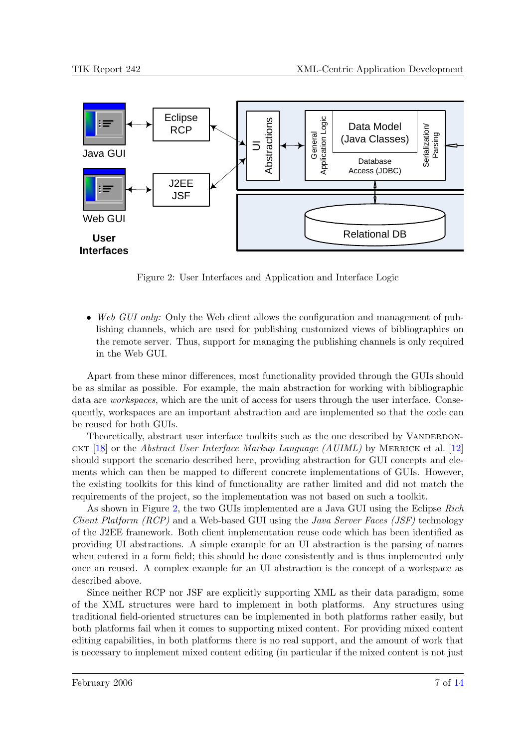

Figure 2: User Interfaces and Application and Interface Logic

• Web GUI only: Only the Web client allows the configuration and management of publishing channels, which are used for publishing customized views of bibliographies on the remote server. Thus, support for managing the publishing channels is only required in the Web GUI.

Apart from these minor differences, most functionality provided through the GUIs should be as similar as possible. For example, the main abstraction for working with bibliographic data are *workspaces*, which are the unit of access for users through the user interface. Consequently, workspaces are an important abstraction and are implemented so that the code can be reused for both GUIs.

Theoretically, abstract user interface toolkits such as the one described by VANDERDON-CKT [\[18\]](#page-13-0) or the *Abstract User Interface Markup Language (AUIML)* by MERRICK et al. [\[12\]](#page-13-0) should support the scenario described here, providing abstraction for GUI concepts and elements which can then be mapped to different concrete implementations of GUIs. However, the existing toolkits for this kind of functionality are rather limited and did not match the requirements of the project, so the implementation was not based on such a toolkit.

As shown in Figure 2, the two GUIs implemented are a Java GUI using the Eclipse Rich *Client Platform (RCP)* and a Web-based GUI using the *Java Server Faces (JSF)* technology of the J2EE framework. Both client implementation reuse code which has been identified as providing UI abstractions. A simple example for an UI abstraction is the parsing of names when entered in a form field; this should be done consistently and is thus implemented only once an reused. A complex example for an UI abstraction is the concept of a workspace as described above.

Since neither RCP nor JSF are explicitly supporting XML as their data paradigm, some of the XML structures were hard to implement in both platforms. Any structures using traditional field-oriented structures can be implemented in both platforms rather easily, but both platforms fail when it comes to supporting mixed content. For providing mixed content editing capabilities, in both platforms there is no real support, and the amount of work that is necessary to implement mixed content editing (in particular if the mixed content is not just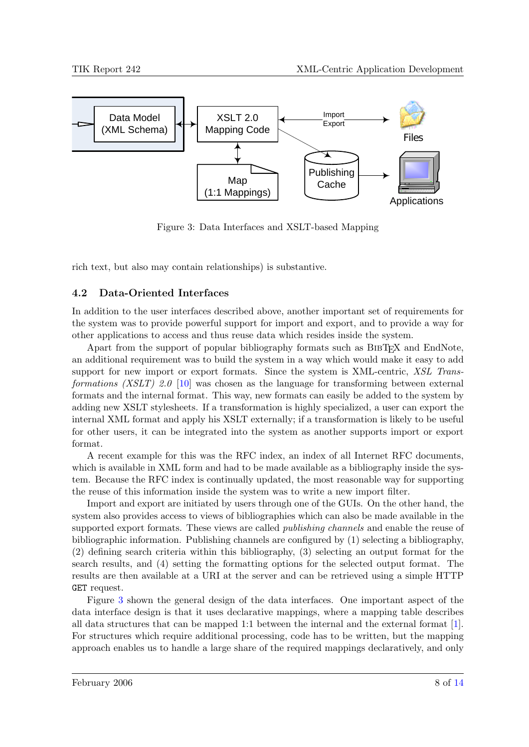<span id="page-7-0"></span>

Figure 3: Data Interfaces and XSLT-based Mapping

rich text, but also may contain relationships) is substantive.

### 4.2 Data-Oriented Interfaces

In addition to the user interfaces described above, another important set of requirements for the system was to provide powerful support for import and export, and to provide a way for other applications to access and thus reuse data which resides inside the system.

Apart from the support of popular bibliography formats such as BIBT<sub>EX</sub> and EndNote, an additional requirement was to build the system in a way which would make it easy to add support for new import or export formats. Since the system is XML-centric, XSL Trans-formations (XSLT) 2.0 [\[10\]](#page-13-0) was chosen as the language for transforming between external formats and the internal format. This way, new formats can easily be added to the system by adding new XSLT stylesheets. If a transformation is highly specialized, a user can export the internal XML format and apply his XSLT externally; if a transformation is likely to be useful for other users, it can be integrated into the system as another supports import or export format.

A recent example for this was the RFC index, an index of all Internet RFC documents, which is available in XML form and had to be made available as a bibliography inside the system. Because the RFC index is continually updated, the most reasonable way for supporting the reuse of this information inside the system was to write a new import filter.

Import and export are initiated by users through one of the GUIs. On the other hand, the system also provides access to views of bibliographies which can also be made available in the supported export formats. These views are called *publishing channels* and enable the reuse of bibliographic information. Publishing channels are configured by (1) selecting a bibliography, (2) defining search criteria within this bibliography, (3) selecting an output format for the search results, and (4) setting the formatting options for the selected output format. The results are then available at a URI at the server and can be retrieved using a simple HTTP GET request.

Figure 3 shown the general design of the data interfaces. One important aspect of the data interface design is that it uses declarative mappings, where a mapping table describes all data structures that can be mapped 1:1 between the internal and the external format [\[1\]](#page-12-0). For structures which require additional processing, code has to be written, but the mapping approach enables us to handle a large share of the required mappings declaratively, and only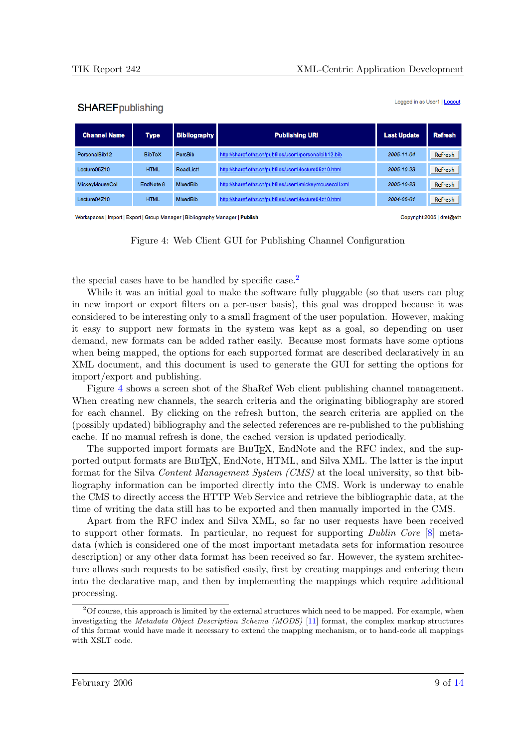#### **SHAREF** publishing

Logged in as User1 | Logout

| <b>Channel Name</b> | <b>Type</b>   | <b>Bibliography</b> | <b>Publishing URI</b>                                    | <b>Last Update</b> | <b>Refresh</b> |
|---------------------|---------------|---------------------|----------------------------------------------------------|--------------------|----------------|
| PersonalBib12       | <b>BibTeX</b> | PersBib             | http://sharef.ethz.ch/pubfiles/user1/personalbib12.bib   | 2005-11-04         | Refresh        |
| Lecture05Z10        | <b>HTML</b>   | ReadList1           | http://sharef.ethz.ch/pubfiles/user1/lecture05z10.html   | 2005-10-23         | Refresh        |
| MickeyMouseColl     | EndNote 8     | MixedBib            | http://sharef.ethz.ch/pubfiles/user1/mickeymousecoll.xml | 2005-10-23         | Refresh        |
| Lecture04Z10        | <b>HTML</b>   | MixedBib            | http://sharef.ethz.ch/pubfiles/user1/lecture04z10.html   | 2004-05-01         | Refresh        |

Workspaces | Import | Export | Group Manager | Bibliography Manager | Publish

Copyright 2005 | dret@eth

Figure 4: Web Client GUI for Publishing Channel Configuration

the special cases have to be handled by specific case.<sup>2</sup>

While it was an initial goal to make the software fully pluggable (so that users can plug in new import or export filters on a per-user basis), this goal was dropped because it was considered to be interesting only to a small fragment of the user population. However, making it easy to support new formats in the system was kept as a goal, so depending on user demand, new formats can be added rather easily. Because most formats have some options when being mapped, the options for each supported format are described declaratively in an XML document, and this document is used to generate the GUI for setting the options for import/export and publishing.

Figure 4 shows a screen shot of the ShaRef Web client publishing channel management. When creating new channels, the search criteria and the originating bibliography are stored for each channel. By clicking on the refresh button, the search criteria are applied on the (possibly updated) bibliography and the selected references are re-published to the publishing cache. If no manual refresh is done, the cached version is updated periodically.

The supported import formats are BIBT<sub>EX</sub>, EndNote and the RFC index, and the supported output formats are BIBT<sub>EX</sub>, EndNote, HTML, and Silva XML. The latter is the input format for the Silva Content Management System (CMS) at the local university, so that bibliography information can be imported directly into the CMS. Work is underway to enable the CMS to directly access the HTTP Web Service and retrieve the bibliographic data, at the time of writing the data still has to be exported and then manually imported in the CMS.

Apart from the RFC index and Silva XML, so far no user requests have been received to support other formats. In particular, no request for supporting Dublin Core [\[8\]](#page-13-0) metadata (which is considered one of the most important metadata sets for information resource description) or any other data format has been received so far. However, the system architecture allows such requests to be satisfied easily, first by creating mappings and entering them into the declarative map, and then by implementing the mappings which require additional processing.

<sup>&</sup>lt;sup>2</sup>Of course, this approach is limited by the external structures which need to be mapped. For example, when investigating the *Metadata Object Description Schema (MODS)* [\[11\]](#page-13-0) format, the complex markup structures of this format would have made it necessary to extend the mapping mechanism, or to hand-code all mappings with XSLT code.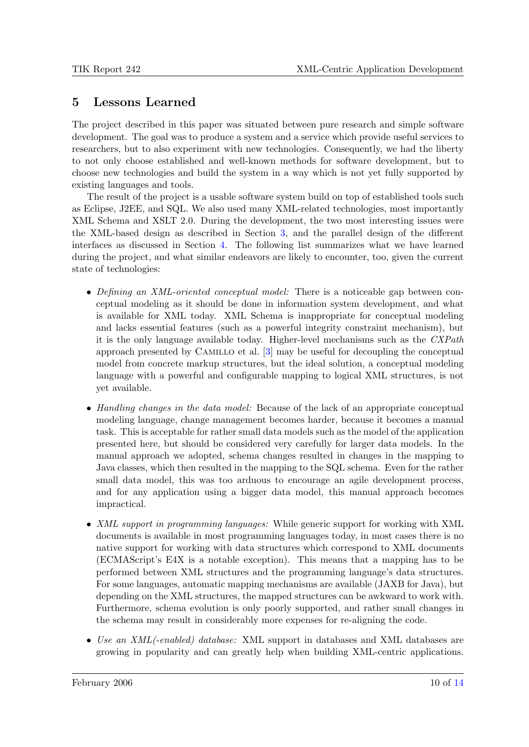## 5 Lessons Learned

The project described in this paper was situated between pure research and simple software development. The goal was to produce a system and a service which provide useful services to researchers, but to also experiment with new technologies. Consequently, we had the liberty to not only choose established and well-known methods for software development, but to choose new technologies and build the system in a way which is not yet fully supported by existing languages and tools.

The result of the project is a usable software system build on top of established tools such as Eclipse, J2EE, and SQL. We also used many XML-related technologies, most importantly XML Schema and XSLT 2.0. During the development, the two most interesting issues were the XML-based design as described in Section [3,](#page-3-0) and the parallel design of the different interfaces as discussed in Section [4.](#page-5-0) The following list summarizes what we have learned during the project, and what similar endeavors are likely to encounter, too, given the current state of technologies:

- Defining an XML-oriented conceptual model: There is a noticeable gap between conceptual modeling as it should be done in information system development, and what is available for XML today. XML Schema is inappropriate for conceptual modeling and lacks essential features (such as a powerful integrity constraint mechanism), but it is the only language available today. Higher-level mechanisms such as the  $CXPath$ approach presented by Camillo et al. [\[3\]](#page-12-0) may be useful for decoupling the conceptual model from concrete markup structures, but the ideal solution, a conceptual modeling language with a powerful and configurable mapping to logical XML structures, is not yet available.
- Handling changes in the data model: Because of the lack of an appropriate conceptual modeling language, change management becomes harder, because it becomes a manual task. This is acceptable for rather small data models such as the model of the application presented here, but should be considered very carefully for larger data models. In the manual approach we adopted, schema changes resulted in changes in the mapping to Java classes, which then resulted in the mapping to the SQL schema. Even for the rather small data model, this was too arduous to encourage an agile development process, and for any application using a bigger data model, this manual approach becomes impractical.
- XML support in programming languages: While generic support for working with XML documents is available in most programming languages today, in most cases there is no native support for working with data structures which correspond to XML documents (ECMAScript's E4X is a notable exception). This means that a mapping has to be performed between XML structures and the programming language's data structures. For some languages, automatic mapping mechanisms are available (JAXB for Java), but depending on the XML structures, the mapped structures can be awkward to work with. Furthermore, schema evolution is only poorly supported, and rather small changes in the schema may result in considerably more expenses for re-aligning the code.
- Use an XML(-enabled) database: XML support in databases and XML databases are growing in popularity and can greatly help when building XML-centric applications.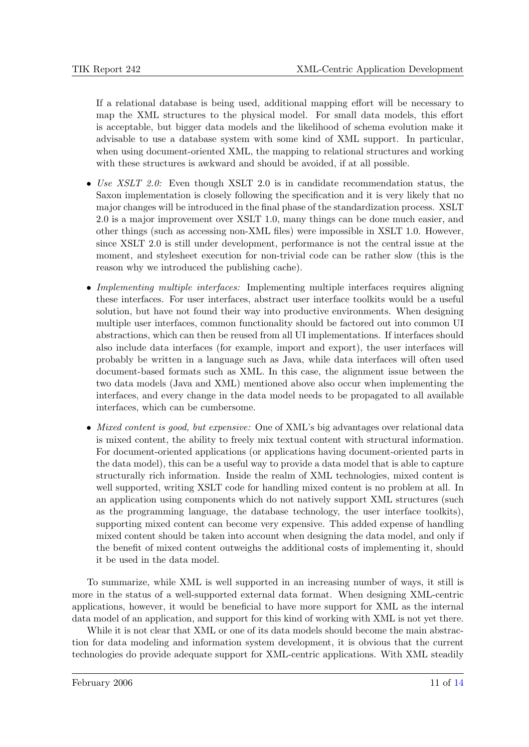If a relational database is being used, additional mapping effort will be necessary to map the XML structures to the physical model. For small data models, this effort is acceptable, but bigger data models and the likelihood of schema evolution make it advisable to use a database system with some kind of XML support. In particular, when using document-oriented XML, the mapping to relational structures and working with these structures is awkward and should be avoided, if at all possible.

- Use XSLT 2.0: Even though XSLT 2.0 is in candidate recommendation status, the Saxon implementation is closely following the specification and it is very likely that no major changes will be introduced in the final phase of the standardization process. XSLT 2.0 is a major improvement over XSLT 1.0, many things can be done much easier, and other things (such as accessing non-XML files) were impossible in XSLT 1.0. However, since XSLT 2.0 is still under development, performance is not the central issue at the moment, and stylesheet execution for non-trivial code can be rather slow (this is the reason why we introduced the publishing cache).
- Implementing multiple interfaces: Implementing multiple interfaces requires aligning these interfaces. For user interfaces, abstract user interface toolkits would be a useful solution, but have not found their way into productive environments. When designing multiple user interfaces, common functionality should be factored out into common UI abstractions, which can then be reused from all UI implementations. If interfaces should also include data interfaces (for example, import and export), the user interfaces will probably be written in a language such as Java, while data interfaces will often used document-based formats such as XML. In this case, the alignment issue between the two data models (Java and XML) mentioned above also occur when implementing the interfaces, and every change in the data model needs to be propagated to all available interfaces, which can be cumbersome.
- Mixed content is good, but expensive: One of XML's big advantages over relational data is mixed content, the ability to freely mix textual content with structural information. For document-oriented applications (or applications having document-oriented parts in the data model), this can be a useful way to provide a data model that is able to capture structurally rich information. Inside the realm of XML technologies, mixed content is well supported, writing XSLT code for handling mixed content is no problem at all. In an application using components which do not natively support XML structures (such as the programming language, the database technology, the user interface toolkits), supporting mixed content can become very expensive. This added expense of handling mixed content should be taken into account when designing the data model, and only if the benefit of mixed content outweighs the additional costs of implementing it, should it be used in the data model.

To summarize, while XML is well supported in an increasing number of ways, it still is more in the status of a well-supported external data format. When designing XML-centric applications, however, it would be beneficial to have more support for XML as the internal data model of an application, and support for this kind of working with XML is not yet there.

While it is not clear that XML or one of its data models should become the main abstraction for data modeling and information system development, it is obvious that the current technologies do provide adequate support for XML-centric applications. With XML steadily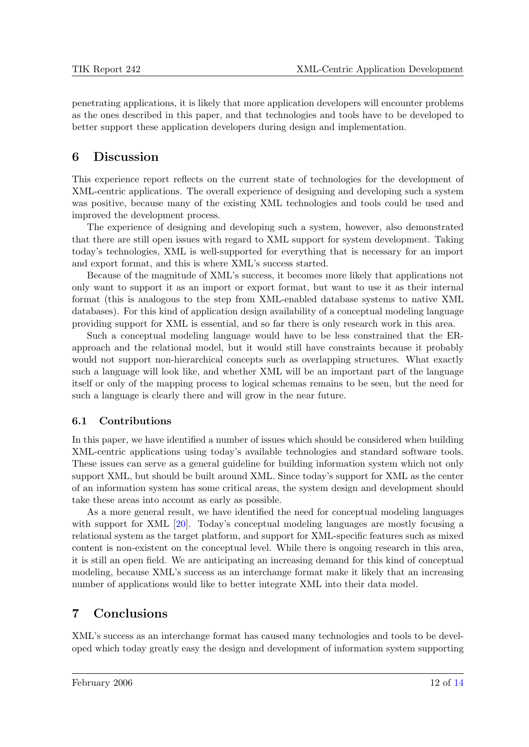penetrating applications, it is likely that more application developers will encounter problems as the ones described in this paper, and that technologies and tools have to be developed to better support these application developers during design and implementation.

## 6 Discussion

This experience report reflects on the current state of technologies for the development of XML-centric applications. The overall experience of designing and developing such a system was positive, because many of the existing XML technologies and tools could be used and improved the development process.

The experience of designing and developing such a system, however, also demonstrated that there are still open issues with regard to XML support for system development. Taking today's technologies, XML is well-supported for everything that is necessary for an import and export format, and this is where XML's success started.

Because of the magnitude of XML's success, it becomes more likely that applications not only want to support it as an import or export format, but want to use it as their internal format (this is analogous to the step from XML-enabled database systems to native XML databases). For this kind of application design availability of a conceptual modeling language providing support for XML is essential, and so far there is only research work in this area.

Such a conceptual modeling language would have to be less constrained that the ERapproach and the relational model, but it would still have constraints because it probably would not support non-hierarchical concepts such as overlapping structures. What exactly such a language will look like, and whether XML will be an important part of the language itself or only of the mapping process to logical schemas remains to be seen, but the need for such a language is clearly there and will grow in the near future.

#### 6.1 Contributions

In this paper, we have identified a number of issues which should be considered when building XML-centric applications using today's available technologies and standard software tools. These issues can serve as a general guideline for building information system which not only support XML, but should be built around XML. Since today's support for XML as the center of an information system has some critical areas, the system design and development should take these areas into account as early as possible.

As a more general result, we have identified the need for conceptual modeling languages with support for XML [\[20\]](#page-13-0). Today's conceptual modeling languages are mostly focusing a relational system as the target platform, and support for XML-specific features such as mixed content is non-existent on the conceptual level. While there is ongoing research in this area, it is still an open field. We are anticipating an increasing demand for this kind of conceptual modeling, because XML's success as an interchange format make it likely that an increasing number of applications would like to better integrate XML into their data model.

# 7 Conclusions

XML's success as an interchange format has caused many technologies and tools to be developed which today greatly easy the design and development of information system supporting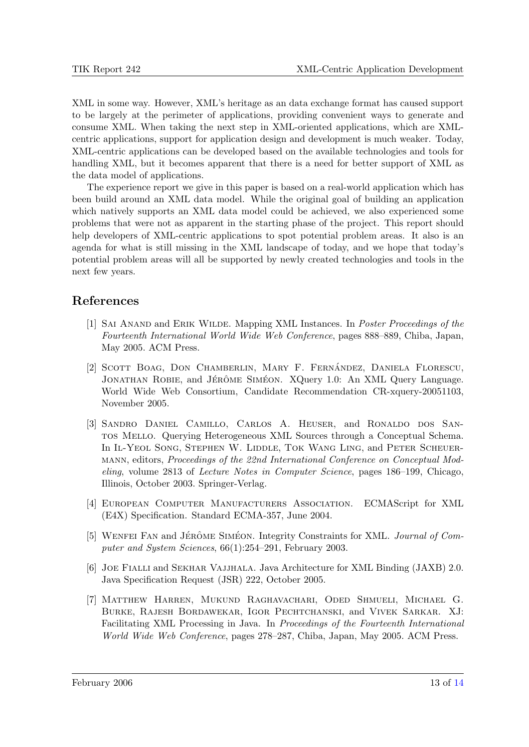<span id="page-12-0"></span>XML in some way. However, XML's heritage as an data exchange format has caused support to be largely at the perimeter of applications, providing convenient ways to generate and consume XML. When taking the next step in XML-oriented applications, which are XMLcentric applications, support for application design and development is much weaker. Today, XML-centric applications can be developed based on the available technologies and tools for handling XML, but it becomes apparent that there is a need for better support of XML as the data model of applications.

The experience report we give in this paper is based on a real-world application which has been build around an XML data model. While the original goal of building an application which natively supports an XML data model could be achieved, we also experienced some problems that were not as apparent in the starting phase of the project. This report should help developers of XML-centric applications to spot potential problem areas. It also is an agenda for what is still missing in the XML landscape of today, and we hope that today's potential problem areas will all be supported by newly created technologies and tools in the next few years.

### References

- [1] Sai Anand and Erik Wilde. Mapping XML Instances. In Poster Proceedings of the Fourteenth International World Wide Web Conference, pages 888–889, Chiba, Japan, May 2005. ACM Press.
- [2] SCOTT BOAG, DON CHAMBERLIN, MARY F. FERNÁNDEZ, DANIELA FLORESCU, JONATHAN ROBIE, and JÉRÔME SIMÉON. XQuery 1.0: An XML Query Language. World Wide Web Consortium, Candidate Recommendation CR-xquery-20051103, November 2005.
- [3] Sandro Daniel Camillo, Carlos A. Heuser, and Ronaldo dos Santos Mello. Querying Heterogeneous XML Sources through a Conceptual Schema. In IL-YEOL SONG, STEPHEN W. LIDDLE, TOK WANG LING, and PETER SCHEUERmann, editors, Proceedings of the 22nd International Conference on Conceptual Modeling, volume 2813 of Lecture Notes in Computer Science, pages 186–199, Chicago, Illinois, October 2003. Springer-Verlag.
- [4] European Computer Manufacturers Association. ECMAScript for XML (E4X) Specification. Standard ECMA-357, June 2004.
- [5] WENFEI FAN and JÉRÔME SIMÉON. Integrity Constraints for XML. Journal of Computer and System Sciences, 66(1):254–291, February 2003.
- [6] Joe Fialli and Sekhar Vajjhala. Java Architecture for XML Binding (JAXB) 2.0. Java Specification Request (JSR) 222, October 2005.
- [7] Matthew Harren, Mukund Raghavachari, Oded Shmueli, Michael G. Burke, Rajesh Bordawekar, Igor Pechtchanski, and Vivek Sarkar. XJ: Facilitating XML Processing in Java. In Proceedings of the Fourteenth International World Wide Web Conference, pages 278–287, Chiba, Japan, May 2005. ACM Press.